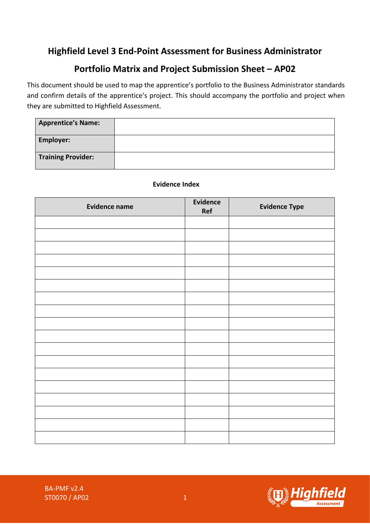# **Highfield Level 3 End-Point Assessment for Business Administrator**

# **Portfolio Matrix and Project Submission Sheet – AP02**

This document should be used to map the apprentice's portfolio to the Business Administrator standards and confirm details of the apprentice's project. This should accompany the portfolio and project when they are submitted to Highfield Assessment.

| <b>Apprentice's Name:</b> |  |
|---------------------------|--|
| <b>Employer:</b>          |  |
| <b>Training Provider:</b> |  |

## **Evidence Index**

| <b>Evidence name</b> | <b>Evidence</b><br>Ref | <b>Evidence Type</b> |
|----------------------|------------------------|----------------------|
|                      |                        |                      |
|                      |                        |                      |
|                      |                        |                      |
|                      |                        |                      |
|                      |                        |                      |
|                      |                        |                      |
|                      |                        |                      |
|                      |                        |                      |
|                      |                        |                      |
|                      |                        |                      |
|                      |                        |                      |
|                      |                        |                      |
|                      |                        |                      |
|                      |                        |                      |
|                      |                        |                      |
|                      |                        |                      |
|                      |                        |                      |
|                      |                        |                      |

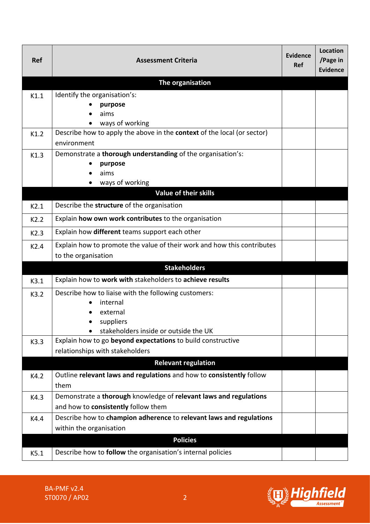| <b>Ref</b> | <b>Assessment Criteria</b>                                                                 | Evidence<br><b>Ref</b> | <b>Location</b><br>/Page in<br><b>Evidence</b> |
|------------|--------------------------------------------------------------------------------------------|------------------------|------------------------------------------------|
|            | The organisation                                                                           |                        |                                                |
| K1.1       | Identify the organisation's:                                                               |                        |                                                |
|            | purpose                                                                                    |                        |                                                |
|            | aims                                                                                       |                        |                                                |
| K1.2       | ways of working<br>Describe how to apply the above in the context of the local (or sector) |                        |                                                |
|            | environment                                                                                |                        |                                                |
| K1.3       | Demonstrate a thorough understanding of the organisation's:                                |                        |                                                |
|            | purpose                                                                                    |                        |                                                |
|            | aims                                                                                       |                        |                                                |
|            | ways of working                                                                            |                        |                                                |
|            | <b>Value of their skills</b>                                                               |                        |                                                |
| K2.1       | Describe the structure of the organisation                                                 |                        |                                                |
| K2.2       | Explain how own work contributes to the organisation                                       |                        |                                                |
| K2.3       | Explain how different teams support each other                                             |                        |                                                |
| K2.4       | Explain how to promote the value of their work and how this contributes                    |                        |                                                |
|            | to the organisation                                                                        |                        |                                                |
|            | <b>Stakeholders</b>                                                                        |                        |                                                |
| K3.1       | Explain how to work with stakeholders to achieve results                                   |                        |                                                |
| K3.2       | Describe how to liaise with the following customers:                                       |                        |                                                |
|            | internal                                                                                   |                        |                                                |
|            | external                                                                                   |                        |                                                |
|            | suppliers<br>stakeholders inside or outside the UK                                         |                        |                                                |
| K3.3       | Explain how to go beyond expectations to build constructive                                |                        |                                                |
|            | relationships with stakeholders                                                            |                        |                                                |
|            | <b>Relevant regulation</b>                                                                 |                        |                                                |
| K4.2       | Outline relevant laws and regulations and how to consistently follow                       |                        |                                                |
|            | them                                                                                       |                        |                                                |
| K4.3       | Demonstrate a thorough knowledge of relevant laws and regulations                          |                        |                                                |
|            | and how to consistently follow them                                                        |                        |                                                |
| K4.4       | Describe how to champion adherence to relevant laws and regulations                        |                        |                                                |
|            | within the organisation                                                                    |                        |                                                |
|            | <b>Policies</b>                                                                            |                        |                                                |
| K5.1       | Describe how to follow the organisation's internal policies                                |                        |                                                |

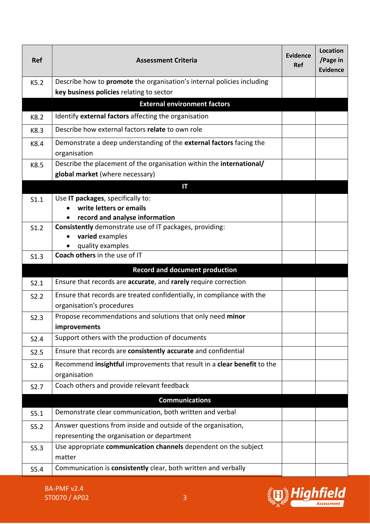| <b>Ref</b>       | <b>Assessment Criteria</b>                                                                                                | Evidence<br><b>Ref</b> | <b>Location</b><br>/Page in<br><b>Evidence</b> |  |
|------------------|---------------------------------------------------------------------------------------------------------------------------|------------------------|------------------------------------------------|--|
| K5.2             | Describe how to <b>promote</b> the organisation's internal policies including<br>key business policies relating to sector |                        |                                                |  |
|                  | <b>External environment factors</b>                                                                                       |                        |                                                |  |
| K8.2             | Identify external factors affecting the organisation                                                                      |                        |                                                |  |
| K8.3             | Describe how external factors relate to own role                                                                          |                        |                                                |  |
| K8.4             | Demonstrate a deep understanding of the external factors facing the<br>organisation                                       |                        |                                                |  |
| K8.5             | Describe the placement of the organisation within the international/                                                      |                        |                                                |  |
|                  | global market (where necessary)                                                                                           |                        |                                                |  |
|                  | IT                                                                                                                        |                        |                                                |  |
| S1.1             | Use IT packages, specifically to:                                                                                         |                        |                                                |  |
|                  | write letters or emails<br>record and analyse information                                                                 |                        |                                                |  |
| S1.2             | Consistently demonstrate use of IT packages, providing:                                                                   |                        |                                                |  |
|                  | varied examples                                                                                                           |                        |                                                |  |
|                  | quality examples                                                                                                          |                        |                                                |  |
| S1.3             | Coach others in the use of IT                                                                                             |                        |                                                |  |
|                  | <b>Record and document production</b>                                                                                     |                        |                                                |  |
| S2.1             | Ensure that records are accurate, and rarely require correction                                                           |                        |                                                |  |
| S2.2             | Ensure that records are treated confidentially, in compliance with the                                                    |                        |                                                |  |
|                  | organisation's procedures                                                                                                 |                        |                                                |  |
| S2.3             | Propose recommendations and solutions that only need minor                                                                |                        |                                                |  |
|                  | improvements                                                                                                              |                        |                                                |  |
| S2.4             | Support others with the production of documents                                                                           |                        |                                                |  |
| S2.5             | Ensure that records are consistently accurate and confidential                                                            |                        |                                                |  |
| S2.6             | Recommend insightful improvements that result in a clear benefit to the                                                   |                        |                                                |  |
|                  | organisation                                                                                                              |                        |                                                |  |
| S <sub>2.7</sub> | Coach others and provide relevant feedback                                                                                |                        |                                                |  |
|                  | <b>Communications</b>                                                                                                     |                        |                                                |  |
| S5.1             | Demonstrate clear communication, both written and verbal                                                                  |                        |                                                |  |
| S5.2             | Answer questions from inside and outside of the organisation,                                                             |                        |                                                |  |
|                  | representing the organisation or department                                                                               |                        |                                                |  |
| S5.3             | Use appropriate communication channels dependent on the subject                                                           |                        |                                                |  |
|                  | matter                                                                                                                    |                        |                                                |  |
| S5.4             | Communication is consistently clear, both written and verbally                                                            |                        |                                                |  |

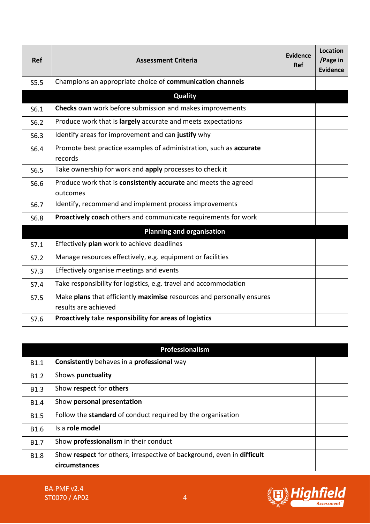| <b>Ref</b> | <b>Assessment Criteria</b>                                                                    | <b>Evidence</b><br><b>Ref</b> | Location<br>/Page in<br>Evidence |
|------------|-----------------------------------------------------------------------------------------------|-------------------------------|----------------------------------|
| S5.5       | Champions an appropriate choice of communication channels                                     |                               |                                  |
|            | <b>Quality</b>                                                                                |                               |                                  |
| S6.1       | Checks own work before submission and makes improvements                                      |                               |                                  |
| S6.2       | Produce work that is largely accurate and meets expectations                                  |                               |                                  |
| S6.3       | Identify areas for improvement and can justify why                                            |                               |                                  |
| S6.4       | Promote best practice examples of administration, such as accurate<br>records                 |                               |                                  |
| S6.5       | Take ownership for work and apply processes to check it                                       |                               |                                  |
| S6.6       | Produce work that is consistently accurate and meets the agreed<br>outcomes                   |                               |                                  |
| S6.7       | Identify, recommend and implement process improvements                                        |                               |                                  |
| S6.8       | Proactively coach others and communicate requirements for work                                |                               |                                  |
|            | <b>Planning and organisation</b>                                                              |                               |                                  |
| S7.1       | Effectively plan work to achieve deadlines                                                    |                               |                                  |
| S7.2       | Manage resources effectively, e.g. equipment or facilities                                    |                               |                                  |
| S7.3       | Effectively organise meetings and events                                                      |                               |                                  |
| S7.4       | Take responsibility for logistics, e.g. travel and accommodation                              |                               |                                  |
| S7.5       | Make plans that efficiently maximise resources and personally ensures<br>results are achieved |                               |                                  |
| S7.6       | Proactively take responsibility for areas of logistics                                        |                               |                                  |

| Professionalism  |                                                                        |  |  |
|------------------|------------------------------------------------------------------------|--|--|
| B <sub>1.1</sub> | Consistently behaves in a professional way                             |  |  |
| B <sub>1.2</sub> | Shows punctuality                                                      |  |  |
| <b>B1.3</b>      | Show respect for others                                                |  |  |
| <b>B1.4</b>      | Show personal presentation                                             |  |  |
| <b>B1.5</b>      | Follow the standard of conduct required by the organisation            |  |  |
| <b>B1.6</b>      | Is a role model                                                        |  |  |
| <b>B1.7</b>      | Show professionalism in their conduct                                  |  |  |
| <b>B1.8</b>      | Show respect for others, irrespective of background, even in difficult |  |  |
|                  | circumstances                                                          |  |  |



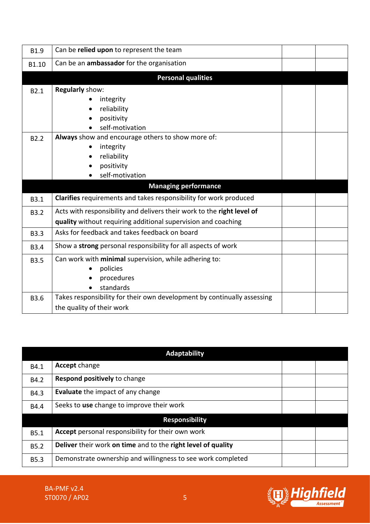| B1.9             | Can be relied upon to represent the team                                |  |
|------------------|-------------------------------------------------------------------------|--|
| B1.10            | Can be an <b>ambassador</b> for the organisation                        |  |
|                  | <b>Personal qualities</b>                                               |  |
| B <sub>2.1</sub> | Regularly show:                                                         |  |
|                  | integrity                                                               |  |
|                  | reliability                                                             |  |
|                  | positivity                                                              |  |
|                  | self-motivation                                                         |  |
| B <sub>2.2</sub> | Always show and encourage others to show more of:                       |  |
|                  | integrity                                                               |  |
|                  | reliability                                                             |  |
|                  | positivity                                                              |  |
|                  | self-motivation                                                         |  |
|                  | <b>Managing performance</b>                                             |  |
|                  |                                                                         |  |
| B3.1             | Clarifies requirements and takes responsibility for work produced       |  |
| <b>B3.2</b>      | Acts with responsibility and delivers their work to the right level of  |  |
|                  | quality without requiring additional supervision and coaching           |  |
| <b>B3.3</b>      | Asks for feedback and takes feedback on board                           |  |
| <b>B3.4</b>      | Show a strong personal responsibility for all aspects of work           |  |
| <b>B3.5</b>      | Can work with minimal supervision, while adhering to:                   |  |
|                  | policies                                                                |  |
|                  | procedures                                                              |  |
|                  | standards                                                               |  |
| <b>B3.6</b>      | Takes responsibility for their own development by continually assessing |  |

|             | <b>Adaptability</b>                                          |  |
|-------------|--------------------------------------------------------------|--|
| B4.1        | <b>Accept change</b>                                         |  |
| B4.2        | Respond positively to change                                 |  |
| B4.3        | <b>Evaluate</b> the impact of any change                     |  |
| B4.4        | Seeks to use change to improve their work                    |  |
|             | <b>Responsibility</b>                                        |  |
| <b>B5.1</b> | <b>Accept</b> personal responsibility for their own work     |  |
| <b>B5.2</b> | Deliver their work on time and to the right level of quality |  |
| <b>B5.3</b> | Demonstrate ownership and willingness to see work completed  |  |